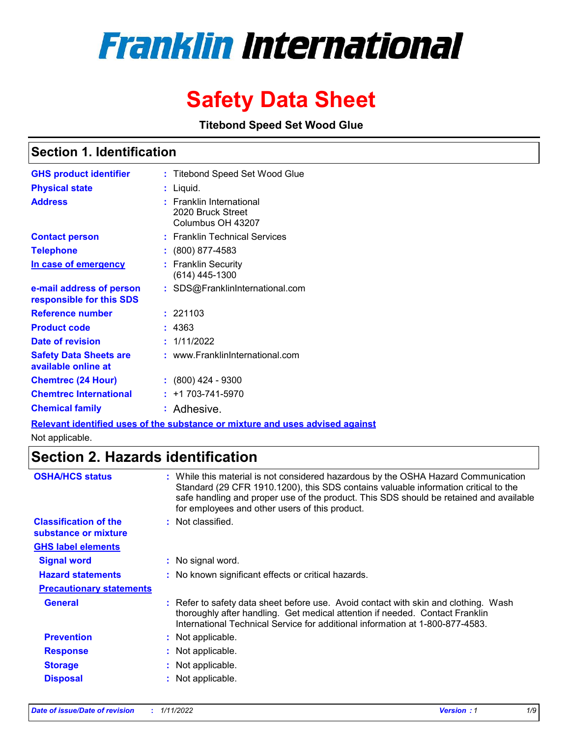# **Franklin International**

## **Safety Data Sheet**

**Titebond Speed Set Wood Glue**

### **Section 1. Identification**

| <b>GHS product identifier</b>                        | : Titebond Speed Set Wood Glue                                     |
|------------------------------------------------------|--------------------------------------------------------------------|
| <b>Physical state</b>                                | : Liquid.                                                          |
| Address                                              | : Franklin International<br>2020 Bruck Street<br>Columbus OH 43207 |
| <b>Contact person</b>                                | : Franklin Technical Services                                      |
| <b>Telephone</b>                                     | : (800) 877-4583                                                   |
| In case of emergency                                 | : Franklin Security<br>$(614)$ 445-1300                            |
| e-mail address of person<br>responsible for this SDS | : SDS@FranklinInternational.com                                    |
| <b>Reference number</b>                              | : 221103                                                           |
| <b>Product code</b>                                  | : 4363                                                             |
| Date of revision                                     | : 1/11/2022                                                        |
| <b>Safety Data Sheets are</b><br>available online at | : www.FranklinInternational.com                                    |
| <b>Chemtrec (24 Hour)</b>                            | $: (800)$ 424 - 9300                                               |
| <b>Chemtrec International</b>                        | $: +1703 - 741 - 5970$                                             |
| <b>Chemical family</b>                               | : Adhesive.                                                        |

**Relevant identified uses of the substance or mixture and uses advised against**

Not applicable.

### **Section 2. Hazards identification**

| <b>OSHA/HCS status</b>                               | : While this material is not considered hazardous by the OSHA Hazard Communication<br>Standard (29 CFR 1910.1200), this SDS contains valuable information critical to the<br>safe handling and proper use of the product. This SDS should be retained and available<br>for employees and other users of this product. |
|------------------------------------------------------|-----------------------------------------------------------------------------------------------------------------------------------------------------------------------------------------------------------------------------------------------------------------------------------------------------------------------|
| <b>Classification of the</b><br>substance or mixture | : Not classified.                                                                                                                                                                                                                                                                                                     |
| <b>GHS label elements</b>                            |                                                                                                                                                                                                                                                                                                                       |
| <b>Signal word</b>                                   | : No signal word.                                                                                                                                                                                                                                                                                                     |
| <b>Hazard statements</b>                             | : No known significant effects or critical hazards.                                                                                                                                                                                                                                                                   |
| <b>Precautionary statements</b>                      |                                                                                                                                                                                                                                                                                                                       |
| <b>General</b>                                       | : Refer to safety data sheet before use. Avoid contact with skin and clothing. Wash<br>thoroughly after handling. Get medical attention if needed. Contact Franklin<br>International Technical Service for additional information at 1-800-877-4583.                                                                  |
| <b>Prevention</b>                                    | : Not applicable.                                                                                                                                                                                                                                                                                                     |
| <b>Response</b>                                      | : Not applicable.                                                                                                                                                                                                                                                                                                     |
| <b>Storage</b>                                       | : Not applicable.                                                                                                                                                                                                                                                                                                     |
| <b>Disposal</b>                                      | : Not applicable.                                                                                                                                                                                                                                                                                                     |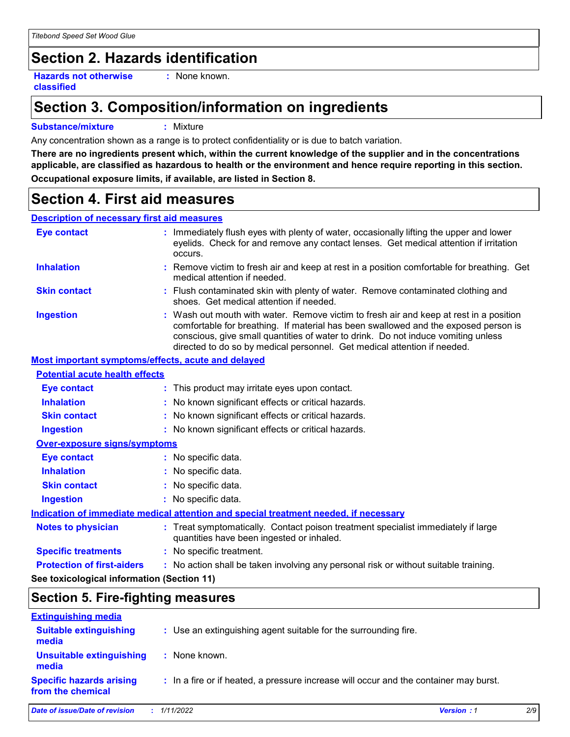### **Section 2. Hazards identification**

**Hazards not otherwise classified**

**:** None known.

### **Section 3. Composition/information on ingredients**

#### **Substance/mixture :** Mixture

Any concentration shown as a range is to protect confidentiality or is due to batch variation.

**There are no ingredients present which, within the current knowledge of the supplier and in the concentrations applicable, are classified as hazardous to health or the environment and hence require reporting in this section. Occupational exposure limits, if available, are listed in Section 8.**

### **Section 4. First aid measures**

#### **Description of necessary first aid measures**

| <b>Eye contact</b>                                 |  | : Immediately flush eyes with plenty of water, occasionally lifting the upper and lower<br>eyelids. Check for and remove any contact lenses. Get medical attention if irritation<br>occurs.                                                                                                                                                    |  |
|----------------------------------------------------|--|------------------------------------------------------------------------------------------------------------------------------------------------------------------------------------------------------------------------------------------------------------------------------------------------------------------------------------------------|--|
| <b>Inhalation</b>                                  |  | : Remove victim to fresh air and keep at rest in a position comfortable for breathing. Get<br>medical attention if needed.                                                                                                                                                                                                                     |  |
| <b>Skin contact</b>                                |  | : Flush contaminated skin with plenty of water. Remove contaminated clothing and<br>shoes. Get medical attention if needed.                                                                                                                                                                                                                    |  |
| <b>Ingestion</b>                                   |  | : Wash out mouth with water. Remove victim to fresh air and keep at rest in a position<br>comfortable for breathing. If material has been swallowed and the exposed person is<br>conscious, give small quantities of water to drink. Do not induce vomiting unless<br>directed to do so by medical personnel. Get medical attention if needed. |  |
| Most important symptoms/effects, acute and delayed |  |                                                                                                                                                                                                                                                                                                                                                |  |
| <b>Potential acute health effects</b>              |  |                                                                                                                                                                                                                                                                                                                                                |  |
| <b>Eye contact</b>                                 |  | : This product may irritate eyes upon contact.                                                                                                                                                                                                                                                                                                 |  |
| <b>Inhalation</b>                                  |  | : No known significant effects or critical hazards.                                                                                                                                                                                                                                                                                            |  |
| <b>Skin contact</b>                                |  | : No known significant effects or critical hazards.                                                                                                                                                                                                                                                                                            |  |
| <b>Ingestion</b>                                   |  | : No known significant effects or critical hazards.                                                                                                                                                                                                                                                                                            |  |
| <b>Over-exposure signs/symptoms</b>                |  |                                                                                                                                                                                                                                                                                                                                                |  |
| <b>Eye contact</b>                                 |  | : No specific data.                                                                                                                                                                                                                                                                                                                            |  |
| <b>Inhalation</b>                                  |  | : No specific data.                                                                                                                                                                                                                                                                                                                            |  |
| <b>Skin contact</b>                                |  | : No specific data.                                                                                                                                                                                                                                                                                                                            |  |
| <b>Ingestion</b>                                   |  | : No specific data.                                                                                                                                                                                                                                                                                                                            |  |
|                                                    |  | Indication of immediate medical attention and special treatment needed, if necessary                                                                                                                                                                                                                                                           |  |
| <b>Notes to physician</b>                          |  | : Treat symptomatically. Contact poison treatment specialist immediately if large<br>quantities have been ingested or inhaled.                                                                                                                                                                                                                 |  |
| <b>Specific treatments</b>                         |  | : No specific treatment.                                                                                                                                                                                                                                                                                                                       |  |
| <b>Protection of first-aiders</b>                  |  | : No action shall be taken involving any personal risk or without suitable training.                                                                                                                                                                                                                                                           |  |
| See toxicological information (Section 11)         |  |                                                                                                                                                                                                                                                                                                                                                |  |

### **Section 5. Fire-fighting measures**

| <b>Extinguishing media</b>                           |                                                                                       |                          |
|------------------------------------------------------|---------------------------------------------------------------------------------------|--------------------------|
| <b>Suitable extinguishing</b><br>media               | : Use an extinguishing agent suitable for the surrounding fire.                       |                          |
| <b>Unsuitable extinguishing</b><br>media             | : None known.                                                                         |                          |
| <b>Specific hazards arising</b><br>from the chemical | : In a fire or if heated, a pressure increase will occur and the container may burst. |                          |
| Date of issue/Date of revision                       | : 1/11/2022                                                                           | 2/9<br><b>Version: 1</b> |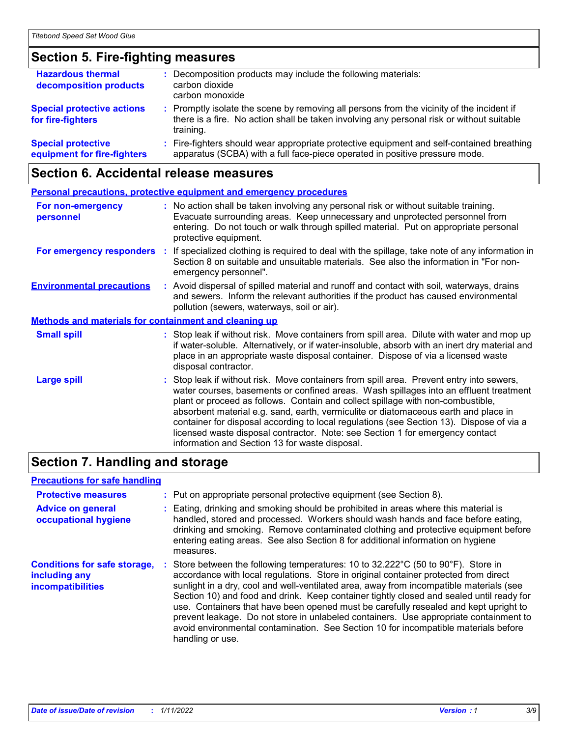### **Section 5. Fire-fighting measures**

| <b>Hazardous thermal</b><br>decomposition products       | : Decomposition products may include the following materials:<br>carbon dioxide<br>carbon monoxide                                                                                                  |
|----------------------------------------------------------|-----------------------------------------------------------------------------------------------------------------------------------------------------------------------------------------------------|
| <b>Special protective actions</b><br>for fire-fighters   | : Promptly isolate the scene by removing all persons from the vicinity of the incident if<br>there is a fire. No action shall be taken involving any personal risk or without suitable<br>training. |
| <b>Special protective</b><br>equipment for fire-fighters | : Fire-fighters should wear appropriate protective equipment and self-contained breathing<br>apparatus (SCBA) with a full face-piece operated in positive pressure mode.                            |

### **Section 6. Accidental release measures**

|                                                              | <b>Personal precautions, protective equipment and emergency procedures</b>                                                                                                                                                                                                                                                                                                                                                                                                                                                                                                                 |  |  |  |
|--------------------------------------------------------------|--------------------------------------------------------------------------------------------------------------------------------------------------------------------------------------------------------------------------------------------------------------------------------------------------------------------------------------------------------------------------------------------------------------------------------------------------------------------------------------------------------------------------------------------------------------------------------------------|--|--|--|
| For non-emergency<br>personnel                               | : No action shall be taken involving any personal risk or without suitable training.<br>Evacuate surrounding areas. Keep unnecessary and unprotected personnel from<br>entering. Do not touch or walk through spilled material. Put on appropriate personal<br>protective equipment.                                                                                                                                                                                                                                                                                                       |  |  |  |
|                                                              | For emergency responders : If specialized clothing is required to deal with the spillage, take note of any information in<br>Section 8 on suitable and unsuitable materials. See also the information in "For non-<br>emergency personnel".                                                                                                                                                                                                                                                                                                                                                |  |  |  |
| <b>Environmental precautions</b>                             | : Avoid dispersal of spilled material and runoff and contact with soil, waterways, drains<br>and sewers. Inform the relevant authorities if the product has caused environmental<br>pollution (sewers, waterways, soil or air).                                                                                                                                                                                                                                                                                                                                                            |  |  |  |
| <b>Methods and materials for containment and cleaning up</b> |                                                                                                                                                                                                                                                                                                                                                                                                                                                                                                                                                                                            |  |  |  |
| <b>Small spill</b>                                           | : Stop leak if without risk. Move containers from spill area. Dilute with water and mop up<br>if water-soluble. Alternatively, or if water-insoluble, absorb with an inert dry material and<br>place in an appropriate waste disposal container. Dispose of via a licensed waste<br>disposal contractor.                                                                                                                                                                                                                                                                                   |  |  |  |
| <b>Large spill</b>                                           | : Stop leak if without risk. Move containers from spill area. Prevent entry into sewers,<br>water courses, basements or confined areas. Wash spillages into an effluent treatment<br>plant or proceed as follows. Contain and collect spillage with non-combustible,<br>absorbent material e.g. sand, earth, vermiculite or diatomaceous earth and place in<br>container for disposal according to local regulations (see Section 13). Dispose of via a<br>licensed waste disposal contractor. Note: see Section 1 for emergency contact<br>information and Section 13 for waste disposal. |  |  |  |

### **Section 7. Handling and storage**

### **Precautions for safe handling**

| <b>Protective measures</b><br><b>Advice on general</b><br>occupational hygiene   | : Put on appropriate personal protective equipment (see Section 8).<br>: Eating, drinking and smoking should be prohibited in areas where this material is<br>handled, stored and processed. Workers should wash hands and face before eating,<br>drinking and smoking. Remove contaminated clothing and protective equipment before<br>entering eating areas. See also Section 8 for additional information on hygiene<br>measures.                                                                                                                                                                                                                         |
|----------------------------------------------------------------------------------|--------------------------------------------------------------------------------------------------------------------------------------------------------------------------------------------------------------------------------------------------------------------------------------------------------------------------------------------------------------------------------------------------------------------------------------------------------------------------------------------------------------------------------------------------------------------------------------------------------------------------------------------------------------|
| <b>Conditions for safe storage,</b><br>including any<br><b>incompatibilities</b> | : Store between the following temperatures: 10 to 32.222°C (50 to 90°F). Store in<br>accordance with local regulations. Store in original container protected from direct<br>sunlight in a dry, cool and well-ventilated area, away from incompatible materials (see<br>Section 10) and food and drink. Keep container tightly closed and sealed until ready for<br>use. Containers that have been opened must be carefully resealed and kept upright to<br>prevent leakage. Do not store in unlabeled containers. Use appropriate containment to<br>avoid environmental contamination. See Section 10 for incompatible materials before<br>handling or use. |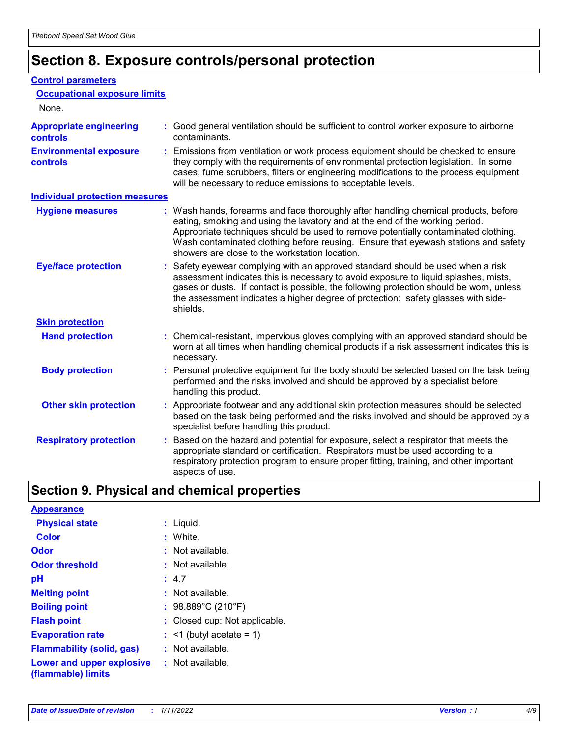### **Section 8. Exposure controls/personal protection**

#### **Control parameters**

| <b>Occupational exposure limits</b><br>None.      |                                                                                                                                                                                                                                                                                                                                                                                                   |
|---------------------------------------------------|---------------------------------------------------------------------------------------------------------------------------------------------------------------------------------------------------------------------------------------------------------------------------------------------------------------------------------------------------------------------------------------------------|
| <b>Appropriate engineering</b><br><b>controls</b> | : Good general ventilation should be sufficient to control worker exposure to airborne<br>contaminants.                                                                                                                                                                                                                                                                                           |
| <b>Environmental exposure</b><br><b>controls</b>  | : Emissions from ventilation or work process equipment should be checked to ensure<br>they comply with the requirements of environmental protection legislation. In some<br>cases, fume scrubbers, filters or engineering modifications to the process equipment<br>will be necessary to reduce emissions to acceptable levels.                                                                   |
| <b>Individual protection measures</b>             |                                                                                                                                                                                                                                                                                                                                                                                                   |
| <b>Hygiene measures</b>                           | : Wash hands, forearms and face thoroughly after handling chemical products, before<br>eating, smoking and using the lavatory and at the end of the working period.<br>Appropriate techniques should be used to remove potentially contaminated clothing.<br>Wash contaminated clothing before reusing. Ensure that eyewash stations and safety<br>showers are close to the workstation location. |
| <b>Eye/face protection</b>                        | : Safety eyewear complying with an approved standard should be used when a risk<br>assessment indicates this is necessary to avoid exposure to liquid splashes, mists,<br>gases or dusts. If contact is possible, the following protection should be worn, unless<br>the assessment indicates a higher degree of protection: safety glasses with side-<br>shields.                                |
| <b>Skin protection</b>                            |                                                                                                                                                                                                                                                                                                                                                                                                   |
| <b>Hand protection</b>                            | : Chemical-resistant, impervious gloves complying with an approved standard should be<br>worn at all times when handling chemical products if a risk assessment indicates this is<br>necessary.                                                                                                                                                                                                   |
| <b>Body protection</b>                            | : Personal protective equipment for the body should be selected based on the task being<br>performed and the risks involved and should be approved by a specialist before<br>handling this product.                                                                                                                                                                                               |
| <b>Other skin protection</b>                      | : Appropriate footwear and any additional skin protection measures should be selected<br>based on the task being performed and the risks involved and should be approved by a<br>specialist before handling this product.                                                                                                                                                                         |
| <b>Respiratory protection</b>                     | Based on the hazard and potential for exposure, select a respirator that meets the<br>appropriate standard or certification. Respirators must be used according to a<br>respiratory protection program to ensure proper fitting, training, and other important<br>aspects of use.                                                                                                                 |

### **Section 9. Physical and chemical properties**

| <b>Appearance</b>                                                       |                               |
|-------------------------------------------------------------------------|-------------------------------|
| <b>Physical state</b>                                                   | : Liquid.                     |
| Color                                                                   | : White.                      |
| Odor                                                                    | $:$ Not available.            |
| <b>Odor threshold</b>                                                   | : Not available.              |
| рH                                                                      | : 4.7                         |
| <b>Melting point</b>                                                    | : Not available.              |
| <b>Boiling point</b>                                                    | : $98.889^{\circ}$ C (210°F)  |
| <b>Flash point</b>                                                      | : Closed cup: Not applicable. |
| <b>Evaporation rate</b>                                                 | $:$ <1 (butyl acetate = 1)    |
| <b>Flammability (solid, gas)</b>                                        | : Not available.              |
| <b>Lower and upper explosive : Not available.</b><br>(flammable) limits |                               |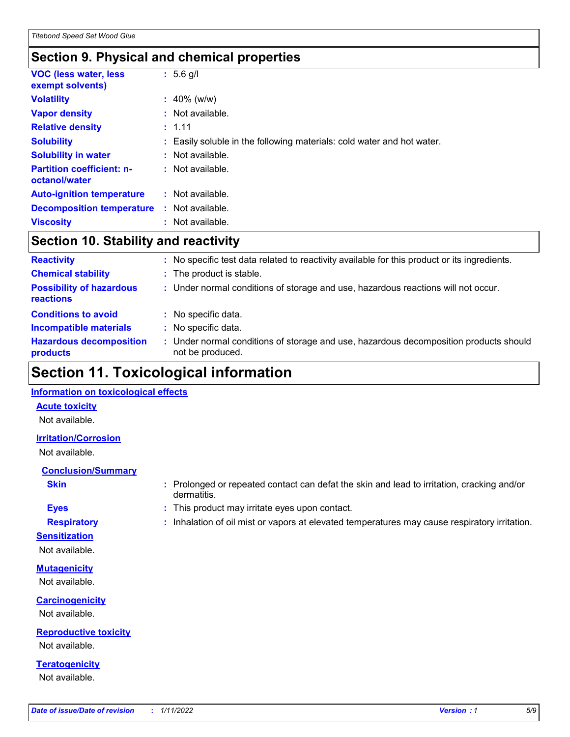### **Section 9. Physical and chemical properties**

| <b>VOC (less water, less)</b><br>exempt solvents) | $: 5.6$ g/l                                                            |
|---------------------------------------------------|------------------------------------------------------------------------|
| <b>Volatility</b>                                 | $: 40\%$ (w/w)                                                         |
| <b>Vapor density</b>                              | $:$ Not available.                                                     |
| <b>Relative density</b>                           | : 1.11                                                                 |
| <b>Solubility</b>                                 | : Easily soluble in the following materials: cold water and hot water. |
| <b>Solubility in water</b>                        | : Not available.                                                       |
| <b>Partition coefficient: n-</b><br>octanol/water | $:$ Not available.                                                     |
| <b>Auto-ignition temperature</b>                  | : Not available.                                                       |
| <b>Decomposition temperature</b>                  | : Not available.                                                       |
| <b>Viscosity</b>                                  | : Not available.                                                       |

### **Section 10. Stability and reactivity**

| <b>Reactivity</b>                            |    | No specific test data related to reactivity available for this product or its ingredients.              |
|----------------------------------------------|----|---------------------------------------------------------------------------------------------------------|
| <b>Chemical stability</b>                    |    | : The product is stable.                                                                                |
| <b>Possibility of hazardous</b><br>reactions |    | : Under normal conditions of storage and use, hazardous reactions will not occur.                       |
| <b>Conditions to avoid</b>                   |    | : No specific data.                                                                                     |
| <b>Incompatible materials</b>                | ÷. | No specific data.                                                                                       |
| <b>Hazardous decomposition</b><br>products   |    | Under normal conditions of storage and use, hazardous decomposition products should<br>not be produced. |

### **Section 11. Toxicological information**

#### **Information on toxicological effects**

#### **Acute toxicity**

Not available.

#### **Irritation/Corrosion**

Not available.

### **Conclusion/Summary**

- 
- **Sensitization**

Not available.

**Mutagenicity** Not available.

**Carcinogenicity** Not available.

**Reproductive toxicity** Not available.

**Teratogenicity** Not available.

- **Skin Example 3 :** Prolonged or repeated contact can defat the skin and lead to irritation, cracking and/or dermatitis.
- **Eyes :** This product may irritate eyes upon contact.
- **Respiratory :** Inhalation of oil mist or vapors at elevated temperatures may cause respiratory irritation.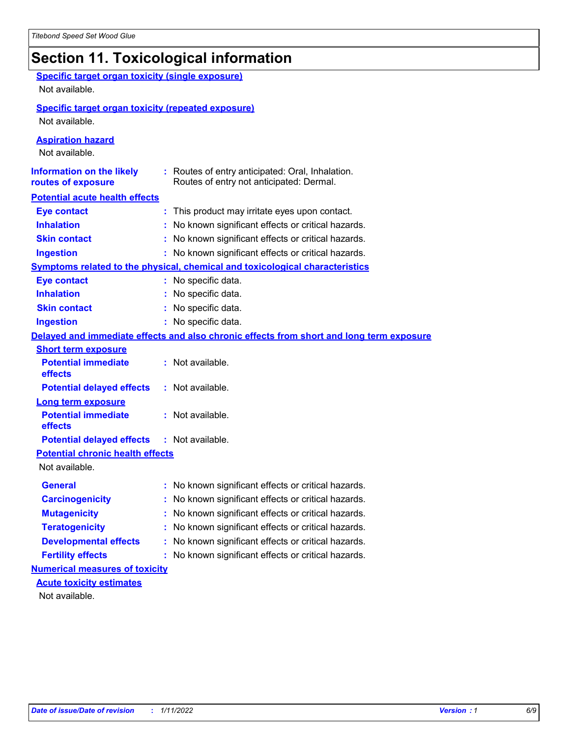### **Section 11. Toxicological information**

| <b>Specific target organ toxicity (single exposure)</b><br>Not available. |                                                                                              |
|---------------------------------------------------------------------------|----------------------------------------------------------------------------------------------|
| <b>Specific target organ toxicity (repeated exposure)</b>                 |                                                                                              |
| Not available.                                                            |                                                                                              |
| <b>Aspiration hazard</b><br>Not available.                                |                                                                                              |
| <b>Information on the likely</b><br>routes of exposure                    | : Routes of entry anticipated: Oral, Inhalation.<br>Routes of entry not anticipated: Dermal. |
| <b>Potential acute health effects</b>                                     |                                                                                              |
| <b>Eye contact</b>                                                        | : This product may irritate eyes upon contact.                                               |
| <b>Inhalation</b>                                                         | : No known significant effects or critical hazards.                                          |
| <b>Skin contact</b>                                                       | : No known significant effects or critical hazards.                                          |
| <b>Ingestion</b>                                                          | : No known significant effects or critical hazards.                                          |
|                                                                           | <b>Symptoms related to the physical, chemical and toxicological characteristics</b>          |
| <b>Eye contact</b>                                                        | : No specific data.                                                                          |
| <b>Inhalation</b>                                                         | : No specific data.                                                                          |
| <b>Skin contact</b>                                                       | : No specific data.                                                                          |
| <b>Ingestion</b>                                                          | : No specific data.                                                                          |
|                                                                           | Delayed and immediate effects and also chronic effects from short and long term exposure     |
| <b>Short term exposure</b>                                                |                                                                                              |
| <b>Potential immediate</b><br>effects                                     | : Not available.                                                                             |
| <b>Potential delayed effects</b>                                          | : Not available.                                                                             |
| <b>Long term exposure</b>                                                 |                                                                                              |
| <b>Potential immediate</b><br>effects                                     | : Not available.                                                                             |
| <b>Potential delayed effects</b>                                          | : Not available.                                                                             |
| <b>Potential chronic health effects</b>                                   |                                                                                              |
| Not available.                                                            |                                                                                              |
| General                                                                   | : No known significant effects or critical hazards.                                          |
| <b>Carcinogenicity</b>                                                    | : No known significant effects or critical hazards.                                          |
| <b>Mutagenicity</b>                                                       | No known significant effects or critical hazards.                                            |
| <b>Teratogenicity</b>                                                     | No known significant effects or critical hazards.                                            |
| <b>Developmental effects</b>                                              | : No known significant effects or critical hazards.                                          |
| <b>Fertility effects</b>                                                  | : No known significant effects or critical hazards.                                          |
| <b>Numerical measures of toxicity</b>                                     |                                                                                              |
| <b>Acute toxicity estimates</b>                                           |                                                                                              |
| Not available                                                             |                                                                                              |

Not available.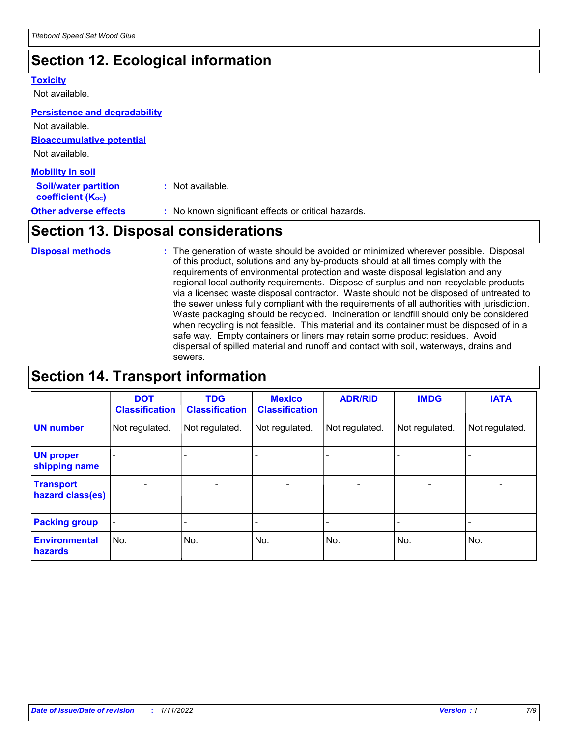### **Section 12. Ecological information**

#### **Toxicity**

Not available.

#### **Persistence and degradability**

**Bioaccumulative potential** Not available. Not available.

| <b>Mobility in soil</b>                                       |                                                     |
|---------------------------------------------------------------|-----------------------------------------------------|
| <b>Soil/water partition</b><br>coefficient (K <sub>oc</sub> ) | : Not available.                                    |
| <b>Other adverse effects</b>                                  | : No known significant effects or critical hazards. |

### **Section 13. Disposal considerations**

The generation of waste should be avoided or minimized wherever possible. Disposal of this product, solutions and any by-products should at all times comply with the requirements of environmental protection and waste disposal legislation and any regional local authority requirements. Dispose of surplus and non-recyclable products via a licensed waste disposal contractor. Waste should not be disposed of untreated to the sewer unless fully compliant with the requirements of all authorities with jurisdiction. Waste packaging should be recycled. Incineration or landfill should only be considered when recycling is not feasible. This material and its container must be disposed of in a safe way. Empty containers or liners may retain some product residues. Avoid dispersal of spilled material and runoff and contact with soil, waterways, drains and sewers. **Disposal methods :**

### **Section 14. Transport information**

|                                      | <b>DOT</b><br><b>Classification</b> | <b>TDG</b><br><b>Classification</b> | <b>Mexico</b><br><b>Classification</b> | <b>ADR/RID</b>               | <b>IMDG</b>              | <b>IATA</b>              |
|--------------------------------------|-------------------------------------|-------------------------------------|----------------------------------------|------------------------------|--------------------------|--------------------------|
| <b>UN number</b>                     | Not regulated.                      | Not regulated.                      | Not regulated.                         | Not regulated.               | Not regulated.           | Not regulated.           |
| <b>UN proper</b><br>shipping name    |                                     |                                     |                                        |                              |                          |                          |
| <b>Transport</b><br>hazard class(es) | $\overline{\phantom{0}}$            | $\overline{\phantom{0}}$            | $\qquad \qquad$                        | $\qquad \qquad \blacksquare$ | $\overline{\phantom{0}}$ | $\overline{\phantom{0}}$ |
| <b>Packing group</b>                 | $\blacksquare$                      | -                                   |                                        | -                            |                          | -                        |
| <b>Environmental</b><br>hazards      | No.                                 | No.                                 | No.                                    | No.                          | No.                      | No.                      |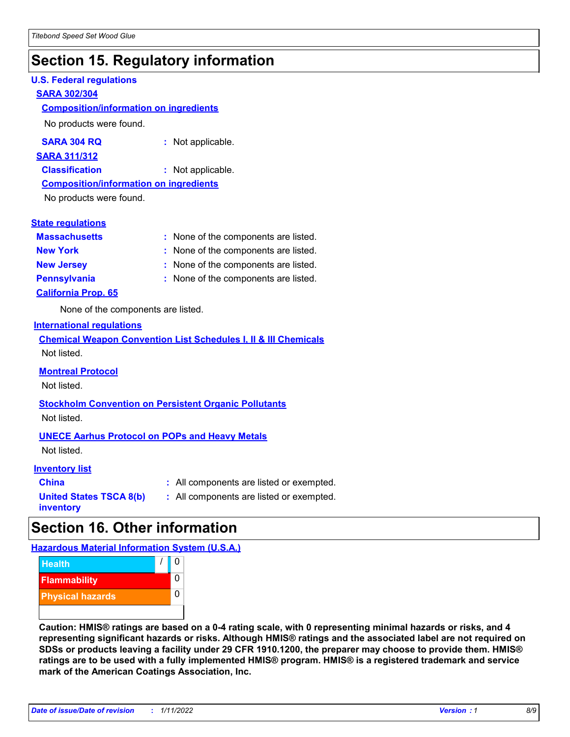### **Section 15. Regulatory information**

#### **U.S. Federal regulations**

#### **SARA 302/304**

#### **Composition/information on ingredients**

No products were found.

| SARA 304 RQ | Not applicable. |
|-------------|-----------------|
|-------------|-----------------|

#### **SARA 311/312**

**Classification :** Not applicable.

### **Composition/information on ingredients**

No products were found.

#### **State regulations**

| <b>Massachusetts</b>       | : None of the components are listed. |
|----------------------------|--------------------------------------|
| <b>New York</b>            | : None of the components are listed. |
| <b>New Jersey</b>          | : None of the components are listed. |
| <b>Pennsylvania</b>        | : None of the components are listed. |
| <b>California Prop. 65</b> |                                      |

None of the components are listed.

#### **International regulations**

|             | <b>Chemical Weapon Convention List Schedules I, II &amp; III Chemicals</b> |  |  |  |
|-------------|----------------------------------------------------------------------------|--|--|--|
| Not listed. |                                                                            |  |  |  |

#### **Montreal Protocol**

Not listed.

#### **Stockholm Convention on Persistent Organic Pollutants** Not listed.

#### **UNECE Aarhus Protocol on POPs and Heavy Metals**

Not listed.

#### **Inventory list**

| <b>China</b>                   |  |
|--------------------------------|--|
| <b>United States TSCA 8(b)</b> |  |
| inventory                      |  |

**:** All components are listed or exempted. **:** All components are listed or exempted.

### **Section 16. Other information**

**Hazardous Material Information System (U.S.A.)**



**Caution: HMIS® ratings are based on a 0-4 rating scale, with 0 representing minimal hazards or risks, and 4 representing significant hazards or risks. Although HMIS® ratings and the associated label are not required on SDSs or products leaving a facility under 29 CFR 1910.1200, the preparer may choose to provide them. HMIS® ratings are to be used with a fully implemented HMIS® program. HMIS® is a registered trademark and service mark of the American Coatings Association, Inc.**